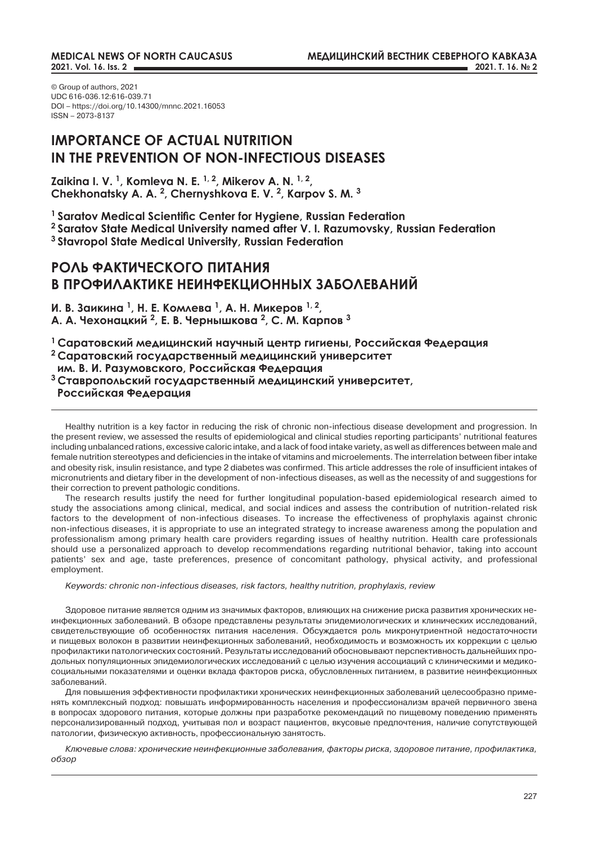© Group of authors, 2021 UDC 616-036.12:616-039.71 DOI – https://doi.org/10.14300/mnnc.2021.16053 ISSN – 2073-8137

# **IMPORTANCE OF ACTUAL NUTRITION IN THE PREVENTION OF NON-INFECTIOUS DISEASES**

**Zaikina I. V. 1, Komleva N. E. 1, 2, Mikerov A. N. 1, 2, Chekhonatsky A. A. 2, Chernyshkova E. V. 2, Karpov S. M. 3**

**<sup>1</sup>Saratov Medical Scientific Center for Hygiene, Russian Federation**

**2 Saratov State Medical University named after V. I. Razumovsky, Russian Federation**

**3 Stavropol State Medical University, Russian Federation**

# **РОЛЬ ФАКТИЧЕСКОГО ПИТАНИЯ В ПРОФИЛАКТИКЕ НЕИНФЕКЦИОННЫХ ЗАБОЛЕВАНИЙ**

**И. В. Заикина <sup>1</sup>, Н. Е. Комлева <sup>1</sup>, А. Н. Микеров 1, 2, А. А. Чехонацкий <sup>2</sup>, Е. В. Чернышкова <sup>2</sup>, С. М. Карпов <sup>3</sup>**

**<sup>1</sup>Саратовский медицинский научный центр гигиены, Российская Федерация <sup>2</sup>Саратовский государственный медицинский университет им. В. И. Разумовского, Российская Федерация <sup>3</sup>Ставропольский государственный медицинский университет, Российская Федерация**

Healthy nutrition is a key factor in reducing the risk of chronic non-infectious disease development and progression. In the present review, we assessed the results of epidemiological and clinical studies reporting participants' nutritional features including unbalanced rations, excessive caloric intake, and a lack of food intake variety, as well as differences between male and female nutrition stereotypes and deficiencies in the intake of vitamins and microelements. The interrelation between fiber intake and obesity risk, insulin resistance, and type 2 diabetes was confirmed. This article addresses the role of insufficient intakes of micronutrients and dietary fiber in the development of non-infectious diseases, as well as the necessity of and suggestions for their correction to prevent pathologic conditions.

The research results justify the need for further longitudinal population-based epidemiological research aimed to study the associations among clinical, medical, and social indices and assess the contribution of nutrition-related risk factors to the development of non-infectious diseases. To increase the effectiveness of prophylaxis against chronic non-infectious diseases, it is appropriate to use an integrated strategy to increase awareness among the population and professionalism among primary health care providers regarding issues of healthy nutrition. Health care professionals should use a personalized approach to develop recommendations regarding nutritional behavior, taking into account patients' sex and age, taste preferences, presence of concomitant pathology, physical activity, and professional employment.

*Keywords: chronic non-infectious diseases, risk factors, healthy nutrition, prophylaxis, review*

Здоровое питание является одним из значимых факторов, влияющих на снижение риска развития хронических неинфекционных заболеваний. В обзоре представлены результаты эпидемиологических и клинических исследований, свидетельствующие об особенностях питания населения. Обсуждается роль микронутриентной недостаточности и пищевых волокон в развитии неинфекционных заболеваний, необходимость и возможность их коррекции с целью профилактики патологических состояний. Результаты исследований обосновывают перспективность дальнейших продольных популяционных эпидемиологических исследований с целью изучения ассоциаций с клиническими и медикосоциальными показателями и оценки вклада факторов риска, обусловленных питанием, в развитие неинфекционных заболеваний.

Для повышения эффективности профилактики хронических неинфекционных заболеваний целесообразно применять комплексный подход: повышать информированность населения и профессионализм врачей первичного звена в вопросах здорового питания, которые должны при разработке рекомендаций по пищевому поведению применять персонализированный подход, учитывая пол и возраст пациентов, вкусовые предпочтения, наличие сопутствующей патологии, физическую активность, профессиональную занятость.

*Ключевые слова: хронические неинфекционные заболевания, факторы риска, здоровое питание, профилактика, обзор*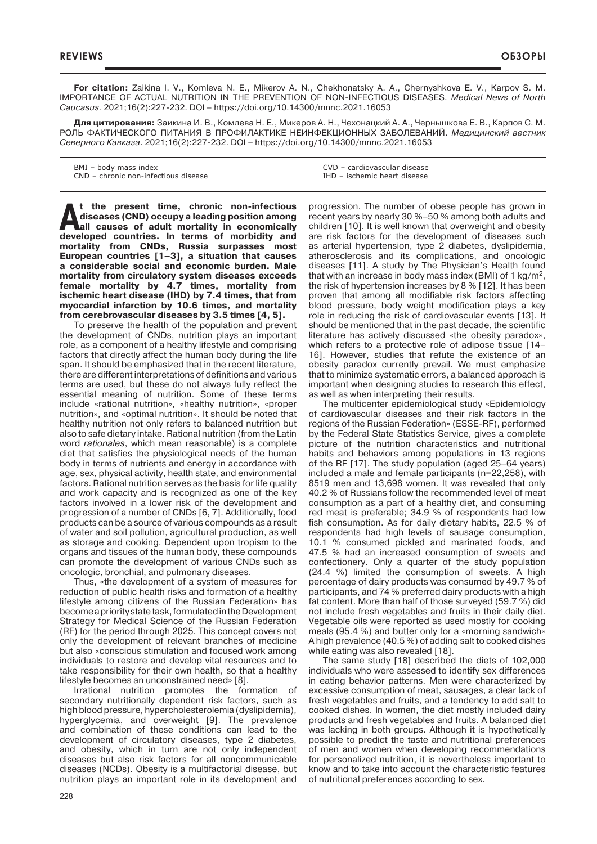**For citation:** Zaikina I. V., Komleva N. E., Mikerov A. N., Chekhonatsky A. A., Chernyshkova E. V., Karpov S. M. IMPORTANCE OF ACTUAL NUTRITION IN THE PREVENTION OF NON-INFECTIOUS DISEASES. *Medical News of North Caucasus.* 2021;16(2):227-232. DOI – https://doi.org/10.14300/mnnc.2021.16053

**Для цитирования:** Заикина И. В., Комлева Н. Е., Микеров А. Н., Чехонацкий А. А., Чернышкова Е. В., Карпов С. М. РОЛЬ ФАКТИЧЕСКОГО ПИТАНИЯ В ПРОФИЛАКТИКЕ НЕИНФЕКЦИОННЫХ ЗАБОЛЕВАНИЙ. *Медицинский вестник Северного Кавказа*. 2021;16(2):227-232. DOI – https://doi.org/10.14300/mnnc.2021.16053

BMI – body mass index CND – chronic non-infectious disease CVD – cardiovascular disease IHD – ischemic heart disease

**At the present time, chronic non-infectious**<br> **All causes of adult mortality in economically**<br> **all causes of adult mortality in economically diseases (CND) occupy a leading position among developed countries. In terms of morbidity and mortality from CNDs, Russia surpasses most European countries [1–3], a situation that causes a considerable social and economic burden. Male mortality from circulatory system diseases exceeds female mortality by 4.7 times, mortality from ischemic heart disease (IHD) by 7.4 times, that from myocardial infarction by 10.6 times, and mortality from cerebrovascular diseases by 3.5 times [4, 5].**

To preserve the health of the population and prevent the development of CNDs, nutrition plays an important role, as a component of a healthy lifestyle and comprising factors that directly affect the human body during the life span. It should be emphasized that in the recent literature, there are different interpretations of definitions and various terms are used, but these do not always fully reflect the essential meaning of nutrition. Some of these terms include «rational nutrition», «healthy nutrition», «proper nutrition», and «optimal nutrition». It should be noted that healthy nutrition not only refers to balanced nutrition but also to safe dietary intake. Rational nutrition (from the Latin word *rationales*, which mean reasonable) is a complete diet that satisfies the physiological needs of the human body in terms of nutrients and energy in accordance with age, sex, physical activity, health state, and environmental factors. Rational nutrition serves as the basis for life quality and work capacity and is recognized as one of the key factors involved in a lower risk of the development and progression of a number of CNDs [6, 7]. Additionally, food products can be a source of various compounds as a result of water and soil pollution, agricultural production, as well as storage and cooking. Dependent upon tropism to the organs and tissues of the human body, these compounds can promote the development of various CNDs such as oncologic, bronchial, and pulmonary diseases.

Thus, «the development of a system of measures for reduction of public health risks and formation of a healthy lifestyle among citizens of the Russian Federation» has become a priority state task, formulated in the Development Strategy for Medical Science of the Russian Federation (RF) for the period through 2025. This concept covers not only the development of relevant branches of medicine but also «conscious stimulation and focused work among individuals to restore and develop vital resources and to take responsibility for their own health, so that a healthy lifestyle becomes an unconstrained need» [8].

Irrational nutrition promotes the formation of secondary nutritionally dependent risk factors, such as high blood pressure, hypercholesterolemia (dyslipidemia), hyperglycemia, and overweight [9]. The prevalence and combination of these conditions can lead to the development of circulatory diseases, type 2 diabetes, and obesity, which in turn are not only independent diseases but also risk factors for all noncommunicable diseases (NCDs). Obesity is a multifactorial disease, but nutrition plays an important role in its development and progression. The number of obese people has grown in recent years by nearly 30 %–50 % among both adults and children [10]. It is well known that overweight and obesity are risk factors for the development of diseases such as arterial hypertension, type 2 diabetes, dyslipidemia, atherosclerosis and its complications, and oncologic diseases [11]. A study by The Physician's Health found that with an increase in body mass index (BMI) of 1  $\text{kg/m}^2$ , the risk of hypertension increases by 8 % [12]. It has been proven that among all modifiable risk factors affecting blood pressure, body weight modification plays a key role in reducing the risk of cardiovascular events [13]. It should be mentioned that in the past decade, the scientific literature has actively discussed «the obesity paradox», which refers to a protective role of adipose tissue [14– 16]. However, studies that refute the existence of an obesity paradox currently prevail. We must emphasize that to minimize systematic errors, a balanced approach is important when designing studies to research this effect, as well as when interpreting their results.

The multicenter epidemiological study «Epidemiology of cardiovascular diseases and their risk factors in the regions of the Russian Federation» (ESSE-RF), performed by the Federal State Statistics Service, gives a complete picture of the nutrition characteristics and nutritional habits and behaviors among populations in 13 regions of the RF [17]. The study population (aged 25–64 years) included a male and female participants (n=22,258), with 8519 men and 13,698 women. It was revealed that only 40.2 % of Russians follow the recommended level of meat consumption as a part of a healthy diet, and consuming red meat is preferable; 34.9 % of respondents had low fish consumption. As for daily dietary habits, 22.5 % of respondents had high levels of sausage consumption, 10.1 % consumed pickled and marinated foods, and 47.5 % had an increased consumption of sweets and confectionery. Only a quarter of the study population (24.4 %) limited the consumption of sweets. A high percentage of dairy products was consumed by 49.7 % of participants, and 74 % preferred dairy products with a high fat content. More than half of those surveyed (59.7 %) did not include fresh vegetables and fruits in their daily diet. Vegetable oils were reported as used mostly for cooking meals (95.4 %) and butter only for a «morning sandwich» A high prevalence (40.5 %) of adding salt to cooked dishes while eating was also revealed [18].

The same study [18] described the diets of 102,000 individuals who were assessed to identify sex differences in eating behavior patterns. Men were characterized by excessive consumption of meat, sausages, a clear lack of fresh vegetables and fruits, and a tendency to add salt to cooked dishes. In women, the diet mostly included dairy products and fresh vegetables and fruits. A balanced diet was lacking in both groups. Although it is hypothetically possible to predict the taste and nutritional preferences of men and women when developing recommendations for personalized nutrition, it is nevertheless important to know and to take into account the characteristic features of nutritional preferences according to sex.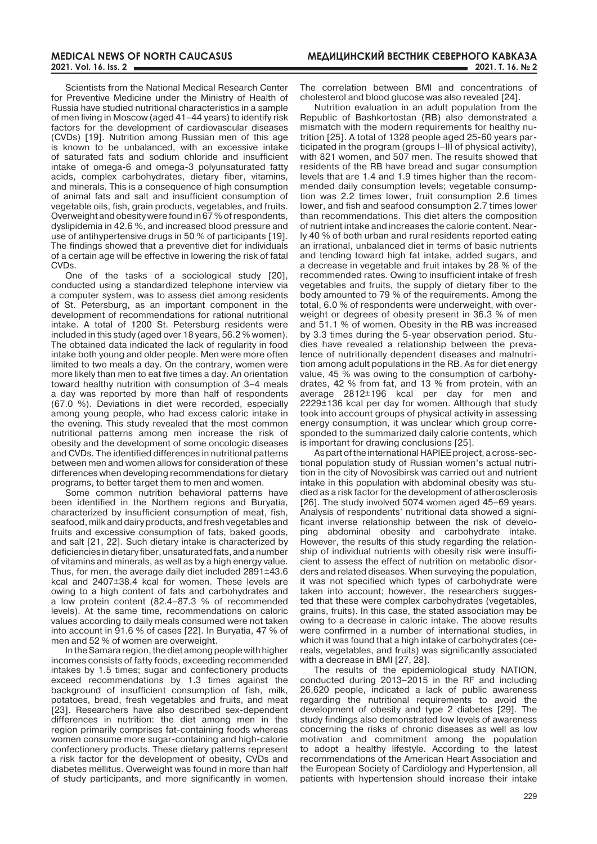Scientists from the National Medical Research Center for Preventive Medicine under the Ministry of Health of Russia have studied nutritional characteristics in a sample of men living in Moscow (aged 41–44 years) to identify risk factors for the development of cardiovascular diseases (CVDs) [19]. Nutrition among Russian men of this age is known to be unbalanced, with an excessive intake of saturated fats and sodium chloride and insufficient intake of omega-6 and omega-3 polyunsaturated fatty acids, complex carbohydrates, dietary fiber, vitamins, and minerals. This is a consequence of high consumption of animal fats and salt and insufficient consumption of vegetable oils, fish, grain products, vegetables, and fruits. Overweight and obesity were found in 67% of respondents, dyslipidemia in 42.6 %, and increased blood pressure and use of antihypertensive drugs in 50 % of participants [19]. The findings showed that a preventive diet for individuals of a certain age will be effective in lowering the risk of fatal CVDs.

One of the tasks of a sociological study [20], conducted using a standardized telephone interview via a computer system, was to assess diet among residents of St. Petersburg, as an important component in the development of recommendations for rational nutritional intake. A total of 1200 St. Petersburg residents were included in this study (aged over 18 years, 56.2 % women). The obtained data indicated the lack of regularity in food intake both young and older people. Men were more often limited to two meals a day. On the contrary, women were more likely than men to eat five times a day. An orientation toward healthy nutrition with consumption of 3–4 meals a day was reported by more than half of respondents (67.0 %). Deviations in diet were recorded, especially among young people, who had excess caloric intake in the evening. This study revealed that the most common nutritional patterns among men increase the risk of obesity and the development of some oncologic diseases and CVDs. The identified differences in nutritional patterns between men and women allows for consideration of these differences when developing recommendations for dietary programs, to better target them to men and women.

Some common nutrition behavioral patterns have been identified in the Northern regions and Buryatia, characterized by insufficient consumption of meat, fish, seafood, milk and dairy products, and fresh vegetables and fruits and excessive consumption of fats, baked goods, and salt [21, 22]. Such dietary intake is characterized by deficiencies in dietary fiber, unsaturated fats, and a number of vitamins and minerals, as well as by a high energy value. Thus, for men, the average daily diet included 2891±43.6 kcal and 2407±38.4 kcal for women. These levels are owing to a high content of fats and carbohydrates and a low protein content (82.4–87.3 % of recommended levels). At the same time, recommendations on caloric values according to daily meals consumed were not taken into account in 91.6 % of cases [22]. In Buryatia, 47 % of men and 52 % of women are overweight.

In the Samara region, the diet among people with higher incomes consists of fatty foods, exceeding recommended intakes by 1.5 times; sugar and confectionery products exceed recommendations by 1.3 times against the background of insufficient consumption of fish, milk, potatoes, bread, fresh vegetables and fruits, and meat [23]. Researchers have also described sex-dependent differences in nutrition: the diet among men in the region primarily comprises fat-containing foods whereas women consume more sugar-containing and high-calorie confectionery products. These dietary patterns represent a risk factor for the development of obesity, CVDs and diabetes mellitus. Overweight was found in more than half of study participants, and more significantly in women.

The correlation between BMI and concentrations of cholesterol and blood glucose was also revealed [24].

Nutrition evaluation in an adult population from the Republic of Bashkortostan (RB) also demonstrated a mismatch with the modern requirements for healthy nutrition [25]. A total of 1328 people aged 25-60 years participated in the program (groups I–III of physical activity), with 821 women, and 507 men. The results showed that residents of the RB have bread and sugar consumption levels that are 1.4 and 1.9 times higher than the recommended daily consumption levels; vegetable consumption was 2.2 times lower, fruit consumption 2.6 times lower, and fish and seafood consumption 2.7 times lower than recommendations. This diet alters the composition of nutrient intake and increases the calorie content. Nearly 40 % of both urban and rural residents reported eating an irrational, unbalanced diet in terms of basic nutrients and tending toward high fat intake, added sugars, and a decrease in vegetable and fruit intakes by 28 % of the recommended rates. Owing to insufficient intake of fresh vegetables and fruits, the supply of dietary fiber to the body amounted to 79 % of the requirements. Among the total, 6.0 % of respondents were underweight, with overweight or degrees of obesity present in 36.3 % of men and 51.1 % of women. Obesity in the RB was increased by 3.3 times during the 5-year observation period. Studies have revealed a relationship between the prevalence of nutritionally dependent diseases and malnutrition among adult populations in the RB. As for diet energy value, 45 % was owing to the consumption of carbohydrates, 42 % from fat, and 13 % from protein, with an average 2812±196 kcal per day for men and 2229±136 kcal per day for women. Although that study took into account groups of physical activity in assessing energy consumption, it was unclear which group corresponded to the summarized daily calorie contents, which is important for drawing conclusions [25].

As part of the international HAPIEE project, a cross-sectional population study of Russian women's actual nutrition in the city of Novosibirsk was carried out and nutrient intake in this population with abdominal obesity was studied as a risk factor for the development of atherosclerosis [26]. The study involved 5074 women aged 45–69 years. Analysis of respondents' nutritional data showed a significant inverse relationship between the risk of developing abdominal obesity and carbohydrate intake. However, the results of this study regarding the relationship of individual nutrients with obesity risk were insufficient to assess the effect of nutrition on metabolic disorders and related diseases. When surveying the population, it was not specified which types of carbohydrate were taken into account; however, the researchers suggested that these were complex carbohydrates (vegetables, grains, fruits). In this case, the stated association may be owing to a decrease in caloric intake. The above results were confirmed in a number of international studies, in which it was found that a high intake of carbohydrates (cereals, vegetables, and fruits) was significantly associated with a decrease in BMI [27, 28].

The results of the epidemiological study NATION, conducted during 2013–2015 in the RF and including 26,620 people, indicated a lack of public awareness regarding the nutritional requirements to avoid the development of obesity and type 2 diabetes [29]. The study findings also demonstrated low levels of awareness concerning the risks of chronic diseases as well as low motivation and commitment among the population to adopt a healthy lifestyle. According to the latest recommendations of the American Heart Association and the European Society of Cardiology and Hypertension, all patients with hypertension should increase their intake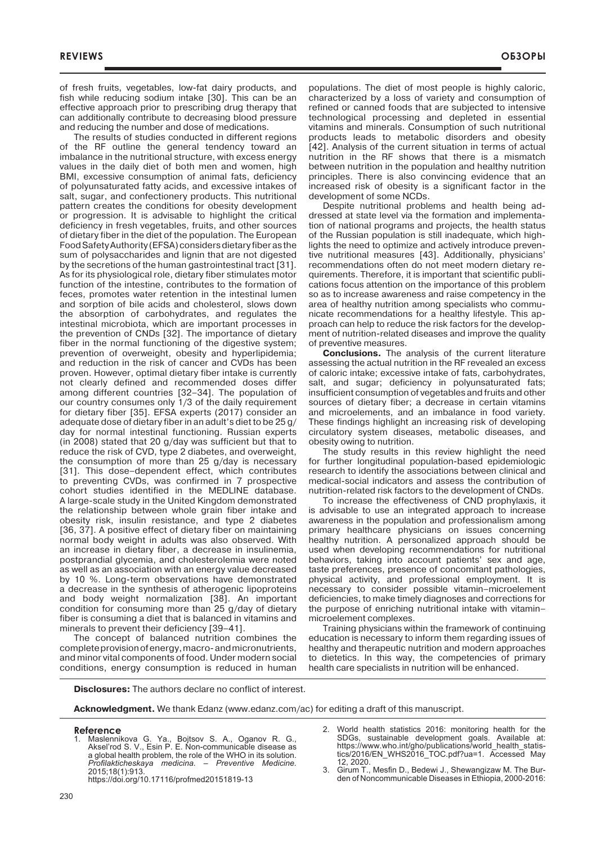of fresh fruits, vegetables, low-fat dairy products, and fish while reducing sodium intake [30]. This can be an effective approach prior to prescribing drug therapy that can additionally contribute to decreasing blood pressure and reducing the number and dose of medications.

The results of studies conducted in different regions of the RF outline the general tendency toward an imbalance in the nutritional structure, with excess energy values in the daily diet of both men and women, high BMI, excessive consumption of animal fats, deficiency of polyunsaturated fatty acids, and excessive intakes of salt, sugar, and confectionery products. This nutritional pattern creates the conditions for obesity development or progression. It is advisable to highlight the critical deficiency in fresh vegetables, fruits, and other sources of dietary fiber in the diet of the population. The European Food Safety Authority (EFSA) considers dietary fiber as the sum of polysaccharides and lignin that are not digested by the secretions of the human gastrointestinal tract [31]. As for its physiological role, dietary fiber stimulates motor function of the intestine, contributes to the formation of feces, promotes water retention in the intestinal lumen and sorption of bile acids and cholesterol, slows down the absorption of carbohydrates, and regulates the intestinal microbiota, which are important processes in the prevention of CNDs [32]. The importance of dietary fiber in the normal functioning of the digestive system; prevention of overweight, obesity and hyperlipidemia; and reduction in the risk of cancer and CVDs has been proven. However, optimal dietary fiber intake is currently not clearly defined and recommended doses differ among different countries [32–34]. The population of our country consumes only 1/3 of the daily requirement for dietary fiber [35]. EFSA experts (2017) consider an adequate dose of dietary fiber in an adult's diet to be 25 g/ day for normal intestinal functioning. Russian experts (in 2008) stated that 20 g/day was sufficient but that to reduce the risk of CVD, type 2 diabetes, and overweight, the consumption of more than 25 g/day is necessary [31]. This dose-dependent effect, which contributes to preventing CVDs, was confirmed in 7 prospective cohort studies identified in the MEDLINE database. A large-scale study in the United Kingdom demonstrated the relationship between whole grain fiber intake and obesity risk, insulin resistance, and type 2 diabetes [36, 37]. A positive effect of dietary fiber on maintaining normal body weight in adults was also observed. With an increase in dietary fiber, a decrease in insulinemia, postprandial glycemia, and cholesterolemia were noted as well as an association with an energy value decreased by 10 %. Long-term observations have demonstrated a decrease in the synthesis of atherogenic lipoproteins and body weight normalization [38]. An important condition for consuming more than 25 g/day of dietary fiber is consuming a diet that is balanced in vitamins and minerals to prevent their deficiency [39–41].

The concept of balanced nutrition combines the complete provision of energy, macro- and micronutrients, and minor vital components of food. Under modern social conditions, energy consumption is reduced in human populations. The diet of most people is highly caloric, characterized by a loss of variety and consumption of refined or canned foods that are subjected to intensive technological processing and depleted in essential vitamins and minerals. Consumption of such nutritional products leads to metabolic disorders and obesity [42]. Analysis of the current situation in terms of actual nutrition in the RF shows that there is a mismatch between nutrition in the population and healthy nutrition principles. There is also convincing evidence that an increased risk of obesity is a significant factor in the development of some NCDs.

Despite nutritional problems and health being addressed at state level via the formation and implementation of national programs and projects, the health status of the Russian population is still inadequate, which highlights the need to optimize and actively introduce preventive nutritional measures [43]. Additionally, physicians' recommendations often do not meet modern dietary requirements. Therefore, it is important that scientific publications focus attention on the importance of this problem so as to increase awareness and raise competency in the area of healthy nutrition among specialists who communicate recommendations for a healthy lifestyle. This approach can help to reduce the risk factors for the development of nutrition-related diseases and improve the quality of preventive measures.

**Conclusions.** The analysis of the current literature assessing the actual nutrition in the RF revealed an excess of caloric intake; excessive intake of fats, carbohydrates, salt, and sugar; deficiency in polyunsaturated fats; insufficient consumption of vegetables and fruits and other sources of dietary fiber; a decrease in certain vitamins and microelements, and an imbalance in food variety. These findings highlight an increasing risk of developing circulatory system diseases, metabolic diseases, and obesity owing to nutrition.

The study results in this review highlight the need for further longitudinal population-based epidemiologic research to identify the associations between clinical and medical-social indicators and assess the contribution of nutrition-related risk factors to the development of CNDs.

To increase the effectiveness of CND prophylaxis, it is advisable to use an integrated approach to increase awareness in the population and professionalism among primary healthcare physicians on issues concerning healthy nutrition. A personalized approach should be used when developing recommendations for nutritional behaviors, taking into account patients' sex and age, taste preferences, presence of concomitant pathologies, physical activity, and professional employment. It is necessary to consider possible vitamin–microelement deficiencies, to make timely diagnoses and corrections for the purpose of enriching nutritional intake with vitamin– microelement complexes.

Training physicians within the framework of continuing education is necessary to inform them regarding issues of healthy and therapeutic nutrition and modern approaches to dietetics. In this way, the competencies of primary health care specialists in nutrition will be enhanced.

**Disclosures:** The authors declare no conflict of interest.

**Acknowledgment.** We thank Edanz (www.edanz.com/ac) for editing a draft of this manuscript.

#### **Reference**

- 1. Maslennikova G. Ya., Bojtsov S. A., Oganov R. G., Aksel'rod S. V., Esin P. E. Non-communicable disease as a global health problem, the role of the WHO in its solution. *Profilakticheskaya medicina. – Preventive Medicine.* 2015;18(1):913. https://doi.org/10.17116/profmed20151819-13
- World health statistics 2016: monitoring health for the SDGs, sustainable development goals. Available at: https://www.who.int/gho/publications/world\_health\_statistics/2016/EN\_WHS2016\_TOC.pdf?ua=1. Аccessed May 12, 2020.
- 3. Girum T., Mesfin D., Bedewi J., Shewangizaw M. The Burden of Noncommunicable Diseases in Ethiopia, 2000-2016: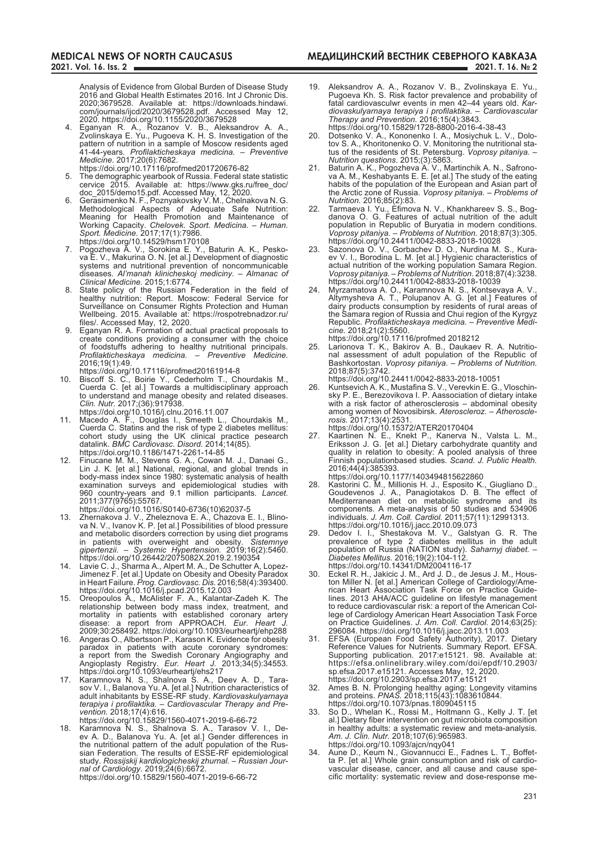**МЕДИЦИНСКИЙ ВЕСТНИК СЕВЕРНОГО КАВКАЗА 2021. Т. 16. № 2**

Analysis of Evidence from Global Burden of Disease Study 2016 and Global Health Estimates 2016. Int J Chronic Dis. 2020;3679528. Available at: https://downloads.hindawi. com/journals/ijcd/2020/3679528.pdf. Accessed May 12, 2020. https://doi.org/10.1155/2020/3679528

- 4. Eganyan R. A., Rozanov V. B., Aleksandrov A. A., Zvolinskaya E. Yu., Pugoeva K. H. S. Investigation of the pattern of nutrition in a sample of Moscow residents aged 41-44-years*. Profilakticheskaya medicina. – Preventive Medicine.* 2017;20(6):7682.
- https://doi.org/10.17116/profmed201720676-82 5. The demographic yearbook of Russia. Federal state statistic cervice 2015. Available at: https://www.gks.ru/free\_doc/
- doc\_2015/demo15.pdf. Accessed May, 12, 2020. 6. Gerasimenko N. F., Poznyakovsky V. M., Chelnakova N. G. Methodological Aspects of Adequate Safe Nutrition: Meaning for Health Promotion and Maintenance of Working Capacity. *Chelovek. Sport. Medicina. – Human. Sport. Medicine.* 2017;17(1):7986. https://doi.org/10.14529/hsm170108
- 7. Pogozheva A. V., Sorokina E. Y., Baturin A. K., Peskova E. V., Makurina O. N. [et al.] Development of diagnostic systems and nutritional prevention of noncommunicable diseases. *Al'manah klinicheskoj mediciny. – Almanac of Clinical Medicine.* 2015;1:6774.
- State policy of the Russian Federation in the field of healthy nutrition: Report. Moscow: Federal Service for Surveillance on Consumer Rights Protection and Human Wellbeing. 2015. Available at: https://rospotrebnadzor.ru/ files/. Accessed May, 12, 2020.
- 9. Eganyan R. A. Formation of actual practical proposals to create conditions providing a consumer with the choice of foodstuffs adhering to healthy nutritional principals. *Profilakticheskaya medicina. – Preventive Medicine.* 2016;19(1):49.
- https://doi.org/10.17116/profmed20161914-8
- 10. Biscoff S. C., Boirie Y., Cederholm T., Chourdakis M., Cuerda C. [et al.] Towards a multidisciplinary approach to understand and manage obesity and related diseases. *Clin. Nutr.* 2017;(36):917938.
	- https://doi.org/10.1016/j.clnu.2016.11.007
- 11. Macedo A. F., Douglas I., Smeeth L., Chourdakis M., Cuerda C. Statins and the risk of type 2 diabetes mellitus: cohort study using the UK clinical practice pesearch datalink. *BMC Cardiovasc. Disord.* 2014;14(85). https://doi.org/10.1186/1471-2261-14-85
- 12. Finucane M. M., Stevens G. A., Cowan M. J., Danaei G., Lin J. K. [et al.] National, regional, and global trends in body-mass index since 1980: systematic analysis of health examination surveys and epidemiological studies with 960 country-years and 9.1 million participants. *Lancet.* 2011;377(9765):55767.
- https://doi.org/10.1016/S0140-6736(10)62037-5
- 13. Zhernakova J. V., Zheleznova E. A., Chazova E. I., Blinova N. V., Ivanov K. P. [et al.] Possibilities of blood pressure and metabolic disorders correction by using diet programs in patients with overweight and obesity. *Sistemnye gipertenzii. – Systemic Hypertension.* 2019;16(2):5460. https://doi.org/10.26442/2075082X.2019.2.190354
- 14. Lavie C. J., Sharma A., Alpert M. A., De Schutter A, Lopez-Jimenez F. [et al.] Update on Obesity and Obesity Paradox in Heart Failure. *Prog. Cardiovasc. Dis.* 2016;58(4):393400. https://doi.org/10.1016/j.pcad.2015.12.003
- 15. Oreopoulos A., McAlister F. A., Kalantar-Zadeh K. The relationship between body mass index, treatment, and mortality in patients with established coronary artery disease: a report from APPROACH. *Eur. Heart J.* 2009;30:258492. https://doi.org/10.1093/eurheartj/ehp288
- 16. Angeras O., Albertsson P., Karason K. Evidence for obesity paradox in patients with acute coronary syndromes: a report from the Swedish Coronary Angiography and Angioplasty Registry. *Eur. Heart J.* 2013;34(5):34553. https://doi.org/10.1093/eurheartj/ehs217
- 17. Karamnova N. S., Shalnova S. A., Deev A. D., Tarasov V. I., Balanova Yu. А. [et al.] Nutrition characteristics of adult inhabitants by ESSE-RF study. *Kardiovaskulyarnaya terapiya i profilaktika. – Cardiovascular Therapy and Prevention.* 2018;17(4):616.

https://doi.org/10.15829/1560-4071-2019-6-66-72

18. Karamnova N. S., Shalnova S. A., Tarasov V. I., Deev A. D., Balanova Yu. A. [et al.] Gender differences in the nutritional pattern of the adult population of the Russian Federation. The results of ESSE-RF epidemiological study. *Rossijskij kardiologicheskij zhurnal. – Russian Journal of Cardiology.* 2019;24(6):6672.

https://doi.org/10.15829/1560-4071-2019-6-66-72

- 19. Aleksandrov A. A., Rozanov V. B., Zvolinskaya E. Yu., Pugoeva Kh. S. Risk factor prevalence and probability of fatal cardiovasculwr events in men 42–44 years old. *Kardiovaskulyarnaya terapiya i profilaktika. – Cardiovascular Therapy and Prevention.* 2016;15(4):3843.
- https://doi.org/10.15829/1728-8800-2016-4-38-43 20. Dotsenko V. A., Kononenko I. A., Mosiychuk L. V., Dolotov S. A., Khoritonenko O. V. Monitoring the nutritional status of the residents of St. Petersburg. *Voprosy pitaniya. –*
- *Nutrition questions*. 2015;(3):5863. 21. Baturin A. K., Pogozheva A. V., Martinchik A. N., Safronova A. M., Keshabyants E. E. [et al.] The study of the eating habits of the population of the European and Asian part of the Arctic zone of Russia. *Voprosy pitaniya. – Problems of Nutrition.* 2016;85(2):83.
- 22. Tarmaeva I. Yu., Efimova N. V., Khankhareev S. S., Bogdanova O. G. Features of actual nutrition of the adult population in Republic of Buryatia in modern conditions. *Voprosy pitaniya. – Problems of Nutrition.* 2018;87(3):305. https://doi.org/10.24411/0042-8833-2018-10028
- 23. Sazonova O. V., Gorbachev D. O., Nurdina M. S., Kuraev V. I., Borodina L. M. [et al.] Hygienic characteristics of actual nutrition of the working population Samara Region. *Voprosy pitaniya. – Problems of Nutrition*. 2018;87(4):3238. https://doi.org/10.24411/0042-8833-2018-10039
- 24. Myrzamatova A. O., Karamnova N. S., Kontsevaya A. V., Altymysheva A. T., Polupanov A. G. [et al.] Features of dairy products consumption by residents of rural areas of the Samara region of Russia and Chui region of the Kyrgyz Republic. *Profilakticheskaya medicina. – Preventive Medicine.* 2018;21(2):5560.
- https://doi.org/10.17116/profmed 2018212 25. Larionova T. K., Bakirov A. B., Daukaev R. A. Nutritional assessment of adult population of the Republic of Bashkortostan. *Voprosy pitaniya. – Problems of Nutrition.*  2018;87(5):3742.
- https://doi.org/10.24411/0042-8833-2018-10051 26. Kuntsevich A. K., Mustafina S. V., Verevkin E. G., Vloschinsky P. E., Berezovikova I. P. Aassociation of dietary intake with a risk factor of atherosclerosis – abdominal obesity among women of Novosibirsk. *Ateroscleroz. – Atheroscle-*
- *rosis.* 2017;13(4):2531. https://doi.org/10.15372/ATER20170404
- 27. Kaartinen N. E., Knekt P., Kanerva N., Valsta L. M., Eriksson J. G. [et al.] Dietary carbohydrate quantity and quality in relation to obesity: A pooled analysis of three Finnish populationbased studies*. Scand. J. Public Health.* 2016;44(4):385393.
- https://doi.org/10.1177/1403494815622860
- 28. Kastorini C. M., Millionis H. J., Esposito K., Giugliano D., Goudevenos J. A., Panagiotakos D. B. The effect of Mediterranean diet on metabolic syndrome and its components. A meta-analysis of 50 studies and 534906 individuals. *J. Am. Coll. Cardiol.* 2011;57(11):12991313. https://doi.org/10.1016/j.jacc.2010.09.073
- 29. Dedov I. I., Shestakova M. V., Galstyan G. R. The prevalence of type 2 diabetes mellitus in the adult population of Russia (NATION study). *Saharnyj diabet. – Diabetes Mellitus.* 2016;19(2):104-112.
- https://doi.org/10.14341/DM2004116-17 30. Eckel R. H., Jakicic J. M., Ard J. D., de Jesus J. M., Houston Miller N. [et al.] American College of Cardiology/American Heart Association Task Force on Practice Guidelines. 2013 AHA/ACC guideline on lifestyle management to reduce cardiovascular risk: a report of the American College of Cardiology American Heart Association Task Force on Practice Guidelines. *J. Am. Coll. Cardiol.* 2014;63(25): 296084. https://doi.org/10.1016/j.jacc.2013.11.003
- 31. EFSA (European Food Safety Authority), 2017. Dietary Reference Values for Nutrients. Summary Report. EFSA. Supporting publication. 2017:e15121. 98. Available at: https://efsa.onlinelibrary.wiley.com/doi/epdf/10.2903/ sp.efsa.2017.e15121. Accesses May, 12, 2020. https://doi.org/10.2903/sp.efsa.2017.e15121
- 32. Ames B. N. Prolonging healthy aging: Longevity vitamins and proteins. *PNAS.* 2018;115(43):1083610844. https://doi.org/10.1073/pnas.1809045115
- 33. So D., Whelan K., Rossi M., Holtmann G., Kelly J. T. [et al.] Dietary fiber intervention on gut microbiota composition in healthy adults: a systematic review and meta-analysis. *Am. J. Clin. Nutr.* 2018;107(6):965983. https://doi.org/10.1093/ajcn/nqy041
- 34. Aune D., Keum N., Giovannucci E., Fadnes L. T., Boffetta P. [et al.] Whole grain consumption and risk of cardiovascular disease, cancer, and all cause and cause specific mortality: systematic review and dose-response me-